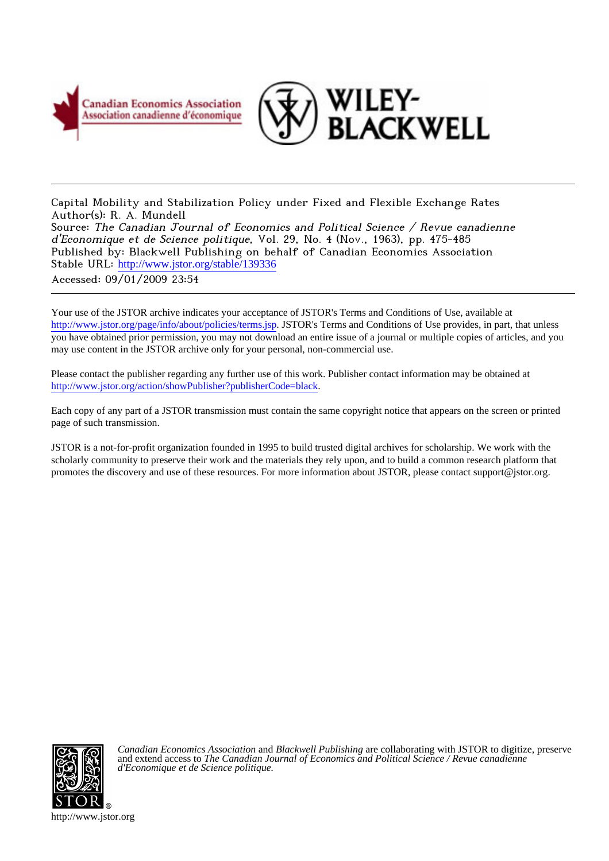



Capital Mobility and Stabilization Policy under Fixed and Flexible Exchange Rates Author(s): R. A. Mundell Source: The Canadian Journal of Economics and Political Science / Revue canadienne <sup>d</sup>'Economique et de Science politique, Vol. 29, No. 4 (Nov., 1963), pp. 475-485 Published by: Blackwell Publishing on behalf of Canadian Economics Association Stable URL: [http://www.jstor.org/stable/139336](http://www.jstor.org/stable/139336?origin=JSTOR-pdf) Accessed: 09/01/2009 23:54

Your use of the JSTOR archive indicates your acceptance of JSTOR's Terms and Conditions of Use, available at <http://www.jstor.org/page/info/about/policies/terms.jsp>. JSTOR's Terms and Conditions of Use provides, in part, that unless you have obtained prior permission, you may not download an entire issue of a journal or multiple copies of articles, and you may use content in the JSTOR archive only for your personal, non-commercial use.

Please contact the publisher regarding any further use of this work. Publisher contact information may be obtained at [http://www.jstor.org/action/showPublisher?publisherCode=black.](http://www.jstor.org/action/showPublisher?publisherCode=black)

Each copy of any part of a JSTOR transmission must contain the same copyright notice that appears on the screen or printed page of such transmission.

JSTOR is a not-for-profit organization founded in 1995 to build trusted digital archives for scholarship. We work with the scholarly community to preserve their work and the materials they rely upon, and to build a common research platform that promotes the discovery and use of these resources. For more information about JSTOR, please contact support@jstor.org.



*Canadian Economics Association* and *Blackwell Publishing* are collaborating with JSTOR to digitize, preserve and extend access to *The Canadian Journal of Economics and Political Science / Revue canadienne d'Economique et de Science politique.*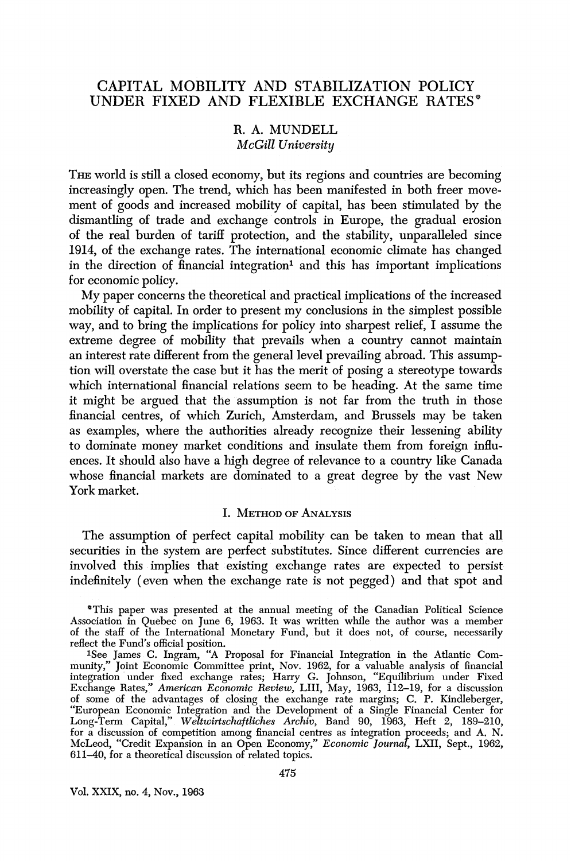# **CAPITAL MOBILITY AND STABILIZATION POLICY UNDER FIXED AND FLEXIBLE EXCHANGE RATES\***

# **R. A. MUNDELL McGill University**

**THE world is still a closed economy, but its regions and countries are becoming increasingly open. The trend, which has been manifested in both freer movement of goods and increased mobility of capital, has been stimulated by the dismantling of trade and exchange controls in Europe, the gradual erosion of the real burden of tariff protection, and the stability, unparalleled since 1914, of the exchange rates. The international economic climate has changed in the direction of financial integration' and this has important implications for economic policy.** 

**My paper concerns the theoretical and practical implications of the increased mobility of capital. In order to present my conclusions in the simplest possible way, and to bring the implications for policy into sharpest relief, I assume the extreme degree of mobility that prevails when a country cannot maintain an interest rate different from the general level prevailing abroad. This assumption will overstate the case but it has the merit of posing a stereotype towards which international financial relations seem to be heading. At the same time it might be argued that the assumption is not far from the truth in those financial centres, of which Zurich, Amsterdam, and Brussels may be taken as examples, where the authorities already recognize their lessening ability to dominate money market conditions and insulate them from foreign influences. It should also have a high degree of relevance to a country like Canada whose financial markets are dominated to a great degree by the vast New York market.** 

### **I. METHOD OF ANALYSIS**

**The assumption of perfect capital mobility can be taken to mean that all securities in the system are perfect substitutes. Since different currencies are involved this implies that existing exchange rates are expected to persist indefinitely (even when the exchange rate is not pegged) and that spot and** 

**\*This paper was presented at the annual meeting of the Canadian Political Science Association in Quebec on June 6, 1963. It was written while the author was a member of the staff of the International Monetary Fund, but it does not, of course, necessarily reflect the Fund's official position.** 

**1See James C. Ingram, "A Proposal for Financial Integration in the Atlantic Community," Joint Economic Committee print, Nov. 1962, for a valuable analysis of financial integration under fixed exchange rates; Harry G. Johnson, "Equilibrium under Fixed Exchange Rates," American Economic Review, LIII, May, 1963, 112-19, for a discussion of some of the advantages of closing the exchange rate margins; C. P. Kindleberger, "European Economic Integration and the Development of a Single Financial Center for Long-Term Capital," Weltwirtschaftliches Archiv, Band 90, 1963, Heft 2, 189-210, for a discussion of competition among financial centres as integration proceeds; and A. N. McLeod, "Credit Expansion in an Open Economy," Economic Journal, LXII, Sept., 1962, 611-40, for a theoretical discussion of related topics.** 

**Vol. XXIX, no. 4, Nov., 1963**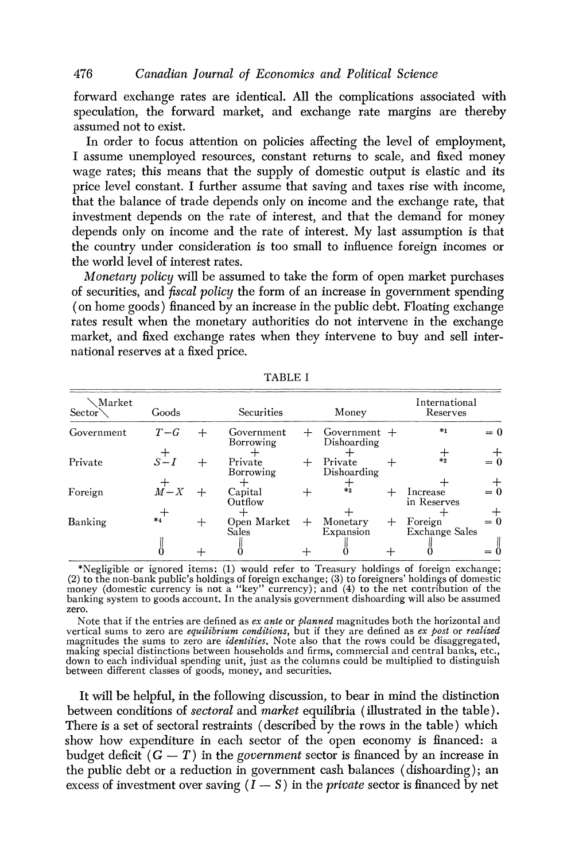**forward exchange rates are identical. All the complications associated with speculation, the forward market, and exchange rate margins are thereby assumed not to exist.** 

**In order to focus attention on policies affecting the level of employment, I assume unemployed resources, constant returns to scale, and fixed money wage rates; this means that the supply of domestic output is elastic and its price level constant. I further assume that saving and taxes rise with income, that the balance of trade depends only on income and the exchange rate, that investment depends on the rate of interest, and that the demand for money depends only on income and the rate of interest. My last assumption is that the country under consideration is too small to influence foreign incomes or the world level of interest rates.** 

**Monetary policy will be assumed to take the form of open market purchases of securities, and fiscal policy the form of an increase in government spending (on home goods) financed by an increase in the public debt. Floating exchange rates result when the monetary authorities do not intervene in the exchange market, and fixed exchange rates when they intervene to buy and sell international reserves at a fixed price.** 

| Market<br>Sector | Goods                |                    | Securities                  |   | Money                         |   | International<br>Reserves        |       |
|------------------|----------------------|--------------------|-----------------------------|---|-------------------------------|---|----------------------------------|-------|
| Government       | $T-G$                | $^+$               | Government<br>Borrowing     | ┿ | Government $+$<br>Dishoarding |   | $*1$                             | $= 0$ |
| Private          | $S-I$                |                    | Private<br>Borrowing        | ┿ | Private<br>Dishoarding        |   | $_{*2}^{+}$                      | $= 0$ |
| Foreign          | $M-X$                | $^{+}$             | Capital<br>Outflow          |   | $\overline{1}$                |   | Increase<br>in Reserves          | $= 0$ |
| Banking          | $*_{4}$ <sup>+</sup> | $\hspace{0.1mm} +$ | Open Market<br><b>Sales</b> | ┿ | Monetary<br>Expansion         | ┿ | Foreign<br><b>Exchange Sales</b> | $= 0$ |
|                  |                      |                    |                             |   |                               |   |                                  |       |

**TABLE I** 

\*Negligible or ignored items: (1) would refer to Treasury holdings of foreign exchange; (2) to the non-bank public's holdings of foreign exchange; (3) to foreigners' holdings of domestic money (domestic currency is not a **banking system to goods account. In the analysis government dishoarding will also be assumed zero.** 

**Note that if the entries are defined as ex ante or planned magnitudes both the horizontal and vertical sums to zero are equilibrium conditions, but if they are defined as ex post or realized**  magnitudes the sums to zero are *identities*. Note also that the rows could be disaggregated, making special distinctions between households and firms, commercial and central banks, etc., **down to each individual spending unit, just as the columns could be multiplied to distinguish between different classes of goods, money, and securities.** 

**It will be helpful, in the following discussion, to bear in mind the distinction between conditions of sectoral and market equilibria (illustrated in the table). There is a set of sectoral restraints (described by the rows in the table) which show how expenditure in each sector of the open economy is financed: a**  budget deficit  $(G - T)$  in the government sector is financed by an increase in **the public debt or a reduction in government cash balances (dishoarding); an**  excess of investment over saving  $(I - S)$  in the *private* sector is financed by net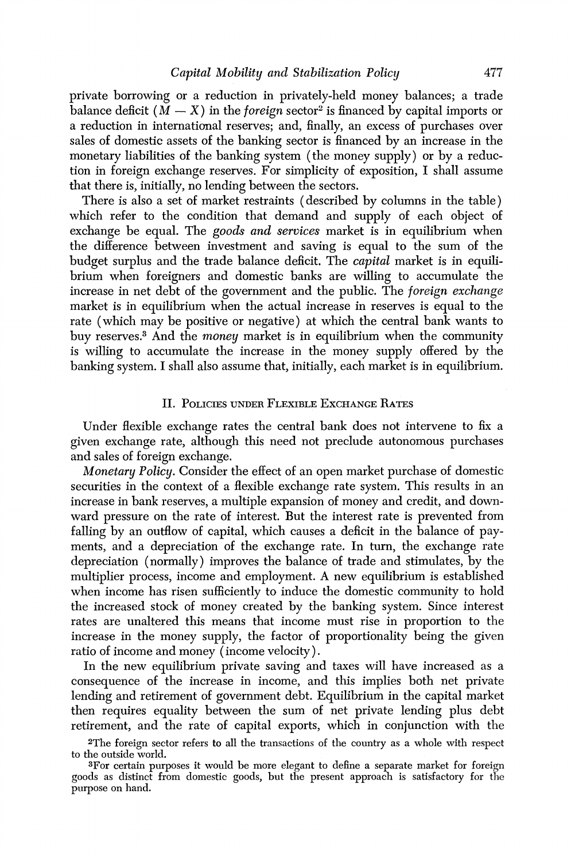**private borrowing or a reduction in privately-held money balances; a trade**  balance deficit  $(M - X)$  in the *foreign* sector<sup>2</sup> is financed by capital imports or **a reduction in international reserves; and, finally, an excess of purchases over sales of domestic assets of the banking sector is financed by an increase in the monetary liabilities of the banking system (the money supply) or by a reduction in foreign exchange reserves. For simplicity of exposition, I shall assume that there is, initially, no lending between the sectors.** 

**There is also a set of market restraints (described by columns in the table) which refer to the condition that demand and supply of each object of exchange be equal. The goods and services market is in equilibrium when the difference between investment and saving is equal to the sum of the budget surplus and the trade balance deficit. The capital market is in equilibrium when foreigners and domestic banks are willing to accumulate the increase in net debt of the government and the public. The foreign exchange market is in equilibrium when the actual increase in reserves is equal to the rate (which may be positive or negative) at which the central bank wants to buy reserves.3 And the money market is in equilibrium when the community is willing to accumulate the increase in the money supply offered by the banking system. I shall also assume that, initially, each market is in equilibrium.** 

# **II. POLICIES UNDER FLEXIBLE EXCHANGE RATES**

**Under flexible exchange rates the central bank does not intervene to fix a given exchange rate, although this need not preclude autonomous purchases and sales of foreign exchange.** 

**Monetary Policy. Consider the effect of an open market purchase of domestic securities in the context of a flexible exchange rate system. This results in an increase in bank reserves, a multiple expansion of money and credit, and downward pressure on the rate of interest. But the interest rate is prevented from falling by an outflow of capital, which causes a deficit in the balance of payments, and a depreciation of the exchange rate. In turn, the exchange rate depreciation (normally) improves the balance of trade and stimulates, by the multiplier process, income and employment. A new equilibrium is established when income has risen sufficiently to induce the domestic community to hold the increased stock of money created by the banking system. Since interest rates are unaltered this means that income must rise in proportion to the increase in the money supply, the factor of proportionality being the given ratio of income and money (income velocity).** 

**In the new equilibrium private saving and taxes will have increased as a consequence of the increase in income, and this implies both net private lending and retirement of government debt. Equilibrium in the capital market then requires equality between the sum of net private lending plus debt retirement, and the rate of capital exports, which in conjunction with the** 

**<sup>2</sup>The foreign sector refers to all the transactions of the country as a whole with respect to the outside world.** 

**<sup>3</sup>For certain purposes it would be more elegant to define a separate market for foreign goods as distinct from domestic goods, but the present approach is satisfactory for the purpose on hand.**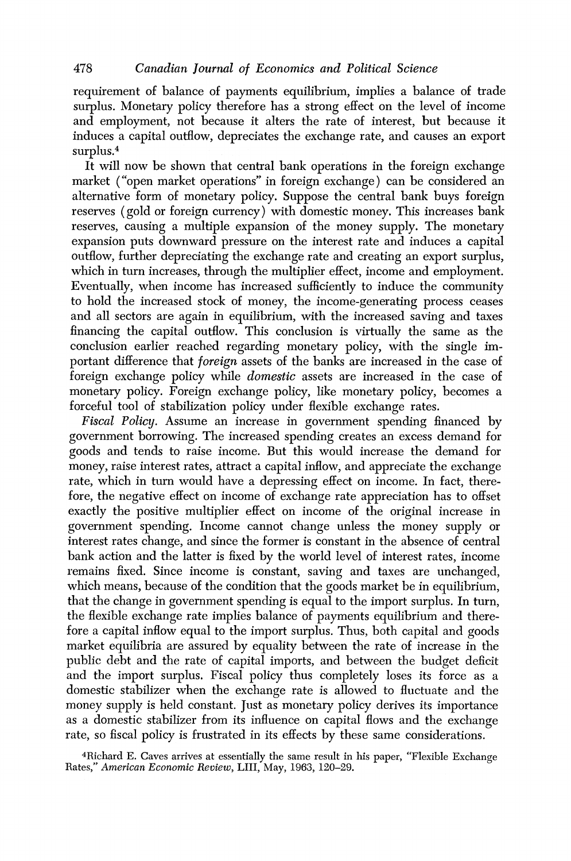**requirement of balance of payments equilibrium, implies a balance of trade surplus. Monetary policy therefore has a strong effect on the level of income and employment, not because it alters the rate of interest, but because it induces a capital outflow, depreciates the exchange rate, and causes an export surplus.4** 

**It will now be shown that central bank operations in the foreign exchange market ("open market operations" in foreign exchange) can be considered an alternative form of monetary policy. Suppose the central bank buys foreign reserves (gold or foreign currency) with domestic money. This increases bank reserves, causing a multiple expansion of the money supply. The monetary expansion puts downward pressure on the interest rate and induces a capital outflow, further depreciating the exchange rate and creating an export surplus, which in turn increases, through the multiplier effect, income and employment. Eventually, when income has increased sufficiently to induce the community to hold the increased stock of money, the income-generating process ceases and all sectors are again in equilibrium, with the increased saving and taxes financing the capital outflow. This conclusion is virtually the same as the conclusion earlier reached regarding monetary policy, with the single important difference that foreign assets of the banks are increased in the case of foreign exchange policy while domestic assets are increased in the case of monetary policy. Foreign exchange policy, like monetary policy, becomes a forceful tool of stabilization policy under flexible exchange rates.** 

**Fiscal Policy. Assume an increase in government spending financed by government borrowing. The increased spending creates an excess demand for goods and tends to raise income. But this would increase the demand for money, raise interest rates, attract a capital inflow, and appreciate the exchange rate, which in turn would have a depressing effect on income. In fact, therefore, the negative effect on income of exchange rate appreciation has to offset exactly the positive multiplier effect on income of the original increase in government spending. Income cannot change unless the money supply or interest rates change, and since the former is constant in the absence of central bank action and the latter is fixed by the world level of interest rates, income remains fixed. Since income is constant, saving and taxes are unchanged, which means, because of the condition that the goods market be in equilibrium, that the change in government spending is equal to the import surplus. In turn, the flexible exchange rate implies balance of payments equilibrium and therefore a capital inflow equal to the import surplus. Thus, both capital and goods market equilibria are assured by equality between the rate of increase in the public debt and the rate of capital imports, and between the budget deficit and the import surplus. Fiscal policy thus completely loses its force as a domestic stabilizer when the exchange rate is allowed to fluctuate and the money supply is held constant. Just as monetary policy derives its importance as a domestic stabilizer from its influence on capital flows and the exchange rate, so fiscal policy is frustrated in its effects by these same considerations.** 

**4Richard E. Caves arrives at essentially the same result in his paper, "Flexible Exchange Rates," American Economic Review, LIII, May, 1963, 120-29.**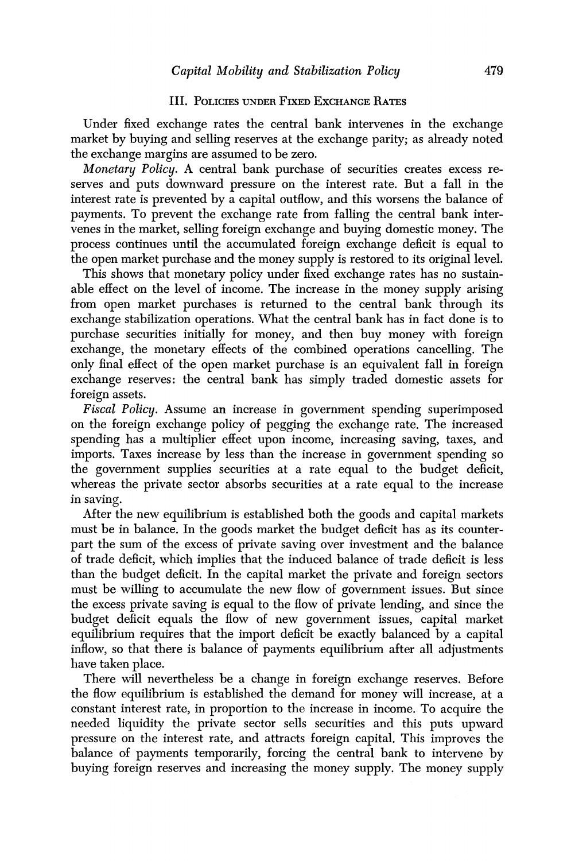# **III. POLICIES UNDER FIXED EXCHANGE RATES**

**Under fixed exchange rates the central bank intervenes in the exchange market by buying and selling reserves at the exchange parity; as already noted the exchange margins are assumed to be zero.** 

**Monetary Policy. A central bank purchase of securities creates excess reserves and puts downward pressure on the interest rate. But a fall in the interest rate is prevented by a capital outflow, and this worsens the balance of payments. To prevent the exchange rate from falling the central bank intervenes in the market, selling foreign exchange and buying domestic money. The process continues until the accumulated foreign exchange deficit is equal to the open market purchase and the money supply is restored to its original level.** 

**This shows that monetary policy under fixed exchange rates has no sustainable effect on the level of income. The increase in the money supply arising from open market purchases is returned to the central bank through its exchange stabilization operations. What the central bank has in fact done is to purchase securities initially for money, and then buy money with foreign exchange, the monetary effects of the combined operations cancelling. The only final effect of the open market purchase is an equivalent fall in foreign exchange reserves: the central bank has simply traded domestic assets for foreign assets.** 

**Fiscal Policy. Assume an increase in government spending superimposed on the foreign exchange policy of pegging the exchange rate. The increased spending has a multiplier effect upon income, increasing saving, taxes, and imports. Taxes increase by less than the increase in government spending so the government supplies securities at a rate equal to the budget deficit, whereas the private sector absorbs securities at a rate equal to the increase in saving.** 

**After the new equilibrium is established both the goods and capital markets must be in balance. In the goods market the budget deficit has as its counterpart the sum of the excess of private saving over investment and the balance of trade deficit, which implies that the induced balance of trade deficit is less than the budget deficit. In the capital market the private and foreign sectors must be willing to accumulate the new flow of government issues. But since the excess private saving is equal to the flow of private lending, and since the budget deficit equals the flow of new government issues, capital market equilibrium requires that the import deficit be exactly balanced by a capital inflow, so that there is balance of payments equilibrium after all adjustments have taken place.** 

**There will nevertheless be a change in foreign exchange reserves. Before the flow equilibrium is established the demand for money will increase, at a constant interest rate, in proportion to the increase in income. To acquire the needed liquidity the private sector sells securities and this puts upward pressure on the interest rate, and attracts foreign capital. This improves the balance of payments temporarily, forcing the central bank to intervene by buying foreign reserves and increasing the money supply. The money supply**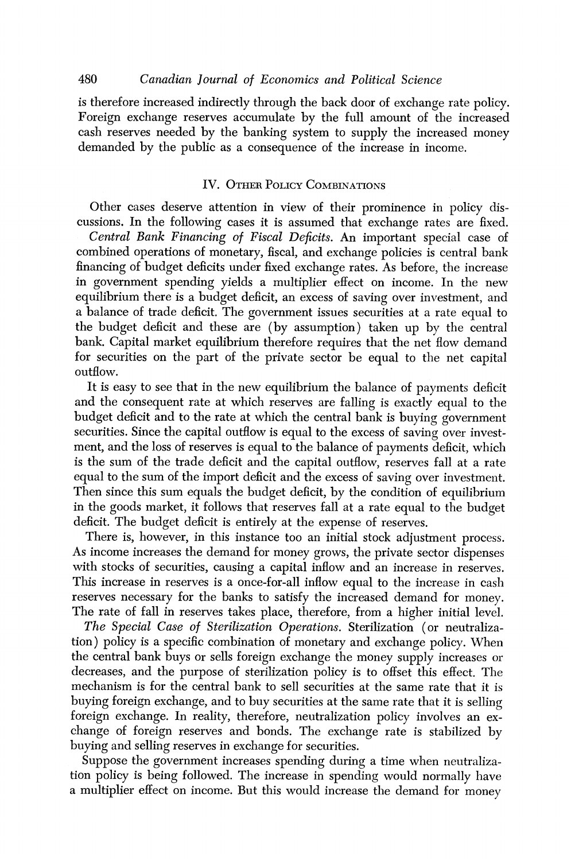#### **Canadian Journal of Economics and Political Science 480**

**is therefore increased indirectly through the back door of exchange rate policy. Foreign exchange reserves accumulate by the full amount of the increased cash reserves needed by the banking system to supply the increased money demanded by the public as a consequence of the increase in income.** 

# **IV. OTHER POLICY COMBINATIONS**

**Other cases deserve attention in view of their prominence in policy discussions. In the following cases it is assumed that exchange rates are fixed.** 

**Central Bank Financing of Fiscal Deficits. An important special case of combined operations of monetary, fiscal, and exchange policies is central bank financing of budget deficits under fixed exchange rates. As before, the increase in government spending yields a multiplier effect on income. In the new equilibrium there is a budget deficit, an excess of saving over investment, and a balance of trade deficit. The government issues securities at a rate equal to the budget deficit and these are (by assumption) taken up by the central bank. Capital market equilibrium therefore requires that the net flow demand for securities on the part of the private sector be equal to the net capital outflow.** 

**It is easy to see that in the new equilibrium the balance of payments deficit and the consequent rate at which reserves are falling is exactly equal to the budget deficit and to the rate at which the central bank is buying government securities. Since the capital outflow is equal to the excess of saving over investment, and the loss of reserves is equal to the balance of payments deficit, which is the sum of the trade deficit and the capital outflow, reserves fall at a rate equal to the sum of the import deficit and the excess of saving over investment. Then since this sum equals the budget deficit, by the condition of equilibrium in the goods market, it follows that reserves fall at a rate equal to the budget deficit. The budget deficit is entirely at the expense of reserves.** 

**There is, however, in this instance too an initial stock adjustment process. As income increases the demand for money grows, the private sector dispenses with stocks of securities, causing a capital inflow and an increase in reserves. This increase in reserves is a once-for-all inflow equal to the increase in cash reserves necessary for the banks to satisfy the increased demand for money. The rate of fall in reserves takes place, therefore, from a higher initial level.** 

**The Special Case of Sterilization Operations. Sterilization (or neutralization) policy is a specific combination of monetary and exchange policy. When the central bank buys or sells foreign exchange the money supply increases or decreases, and the purpose of sterilization policy is to offset this effect. The mechanism is for the central bank to sell securities at the same rate that it is buying foreign exchange, and to buy securities at the same rate that it is selling foreign exchange. In reality, therefore, neutralization policy involves an exchange of foreign reserves and bonds. The exchange rate is stabilized by buying and selling reserves in exchange for securities.** 

**Suppose the government increases spending during a time when neutralization policy is being followed. The increase in spending would normally have a multiplier effect on income. But this would increase the demand for money**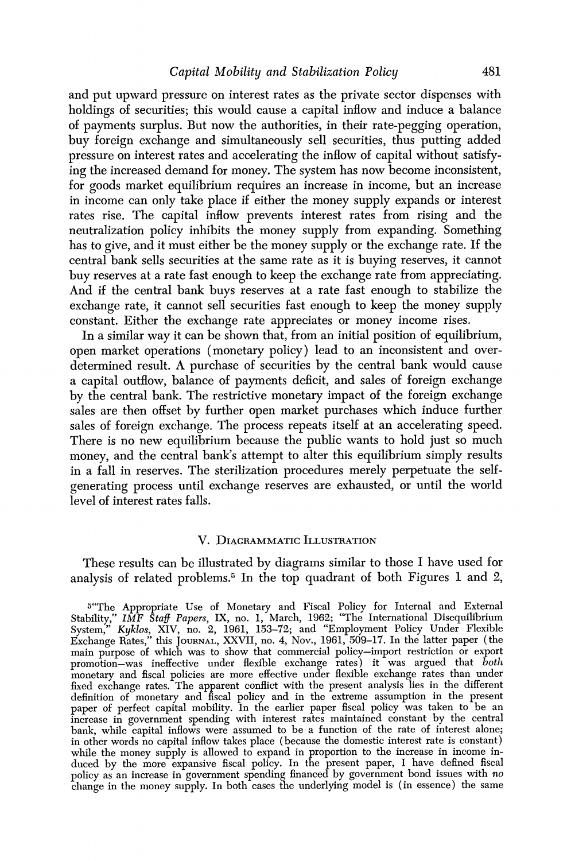**and put upward pressure on interest rates as the private sector dispenses with holdings of securities; this would cause a capital inflow and induce a balance of payments surplus. But now the authorities, in their rate-pegging operation, buy foreign exchange and simultaneously sell securities, thus putting added pressure on interest rates and accelerating the inflow of capital without satisfying the increased demand for money. The system has now become inconsistent, for goods market equilibrium requires an increase in income, but an increase in income can only take place if either the money supply expands or interest rates rise. The capital inflow prevents interest rates from rising and the neutralization policy inhibits the money supply from expanding. Something has to give, and it must either be the money supply or the exchange rate. If the central bank sells securities at the same rate as it is buying reserves, it cannot buy reserves at a rate fast enough to keep the exchange rate from appreciating. And if the central bank buys reserves at a rate fast enough to stabilize the exchange rate, it cannot sell securities fast enough to keep the money supply constant. Either the exchange rate appreciates or money income rises.** 

**In a similar way it can be shown that, from an initial position of equilibrium, open market operations (monetary policy) lead to an inconsistent and overdetermined result. A purchase of securities by the central bank would cause a capital outflow, balance of payments deficit, and sales of foreign exchange by the central bank. The restrictive monetary impact of the foreign exchange sales are then offset by further open market purchases which induce further sales of foreign exchange. The process repeats itself at an accelerating speed. There is no new equilibrium because the public wants to hold just so much money, and the central bank's attempt to alter this equilibrium simply results in a fall in reserves. The sterilization procedures merely perpetuate the selfgenerating process until exchange reserves are exhausted, or until the world level of interest rates falls.** 

# **V. DIAGRAMMATIC ILLUSTRATION**

**These results can be illustrated by diagrams similar to those I have used for analysis of related problems.5 In the top quadrant of both Figures 1 and 2,** 

**5"The Appropriate Use of Monetary and Fiscal Policy for Internal and External Stability," IMF Staff Papers, IX, no. 1, March, 1962; "The International Disequilibrium System," Kyklos, XIV, no. 2, 1961, 153-72; and "Employment Policy Under Flexible Exchange Rates," this JOURNAL, XXVII, no. 4, Nov., 1961, 509-17. In the latter paper (the main purpose of which was to show that commercial policy-import restriction or export promotion-was ineffective under flexible exchange rates) it was argued that both**  monetary and fiscal policies are more effective under flexible exchange rates than under **fixed exchange rates. The apparent conflict with the present analysis lies in the different definition of monetary and fiscal policy and in the extreme assumption in the present paper of perfect capital mobility. In the earlier paper fiscal policy was taken to be an increase in government spending with interest rates maintained constant by the central bank, while capital inflows were assumed to be a function of the rate of interest alone; in other words no capital inflow takes place (because the domestic interest rate is constant) while the money supply is allowed to expand in proportion to the increase in income induced by the more expansive fiscal policy. In the present paper, I have defined fiscal policy as an increase in government spending financed by government bond issues with no change in the money supply. In both cases the underlying model is (in essence) the same**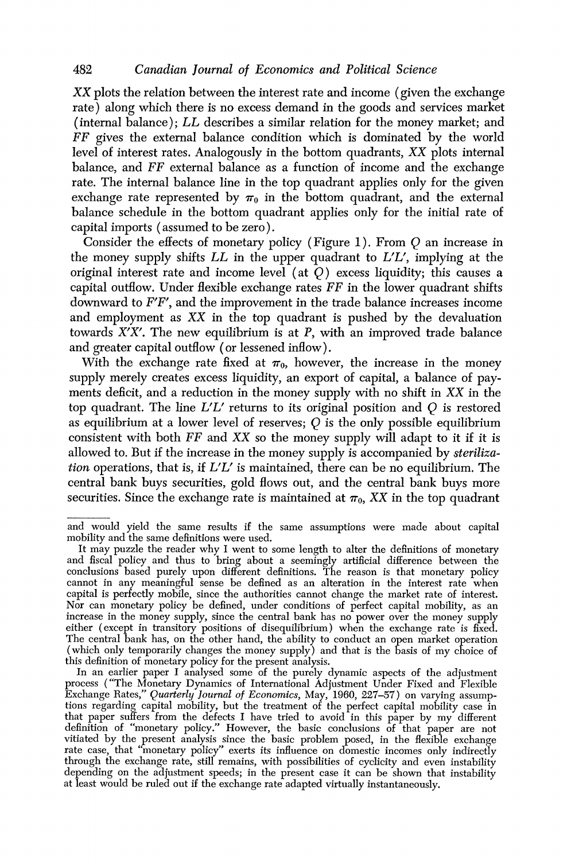**XX plots the relation between the interest rate and income (given the exchange rate) along which there is no excess demand in the goods and services market (internal balance); LL describes a similar relation for the money market; and FF gives the external balance condition which is dominated by the world level of interest rates. Analogously in the bottom quadrants, XX plots internal balance, and FF external balance as a function of income and the exchange rate. The internal balance line in the top quadrant applies only for the given**  exchange rate represented by  $\pi_0$  in the bottom quadrant, and the external **balance schedule in the bottom quadrant applies only for the initial rate of capital imports (assumed to be zero).** 

**Consider the effects of monetary policy (Figure 1). From Q an increase in the money supply shifts LL in the upper quadrant to L'L', implying at the**  original interest rate and income level  $(at \hat{Q})$  excess liquidity; this causes a **capital outflow. Under flexible exchange rates FF in the lower quadrant shifts downward to F'F', and the improvement in the trade balance increases income and employment as XX in the top quadrant is pushed by the devaluation towards X'X'. The new equilibrium is at P, with an improved trade balance and greater capital outflow (or lessened inflow).** 

With the exchange rate fixed at  $\pi_0$ , however, the increase in the money **supply merely creates excess liquidity, an export of capital, a balance of payments deficit, and a reduction in the money supply with no shift in XX in the top quadrant. The line L'L' returns to its original position and Q is restored as equilibrium at a lower level of reserves; Q is the only possible equilibrium consistent with both FF and XX so the money supply will adapt to it if it is allowed to. But if the increase in the money supply is accompanied by sterilization operations, that is, if L'L' is maintained, there can be no equilibrium. The central bank buys securities, gold flows out, and the central bank buys more**  securities. Since the exchange rate is maintained at  $\pi_0$ , XX in the top quadrant

**and would yield the same results if the same assumptions were made about capital mobility and the same definitions were used.** 

**It may puzzle the reader why I went to some length to alter the definitions of monetary and fiscal policy and thus to bring about a seemingly artificial difference between the conclusions based purely upon different definitions. The reason is that monetary policy cannot in any meaningful sense be defined as an alteration in the interest rate when capital is perfectly mobile, since the authorities cannot change the market rate of interest. Nor can monetary policy be defined, under conditions of perfect capital mobility, as an increase in the money supply, since the central bank has no power over the money supply either (except in transitory positions of disequilibrium) when the exchange rate is fixed. The central bank has, on the other hand, the ability to conduct an open market operation (which only temporarily changes the money supply) and that is the basis of my choice of this definition of monetary policy for the present analysis.** 

In an earlier paper I analysed some of the purely dynamic aspects of the adjustment process ("The Monetary Dynamics of International Adjustment Under Fixed and Flexible **Exchange Rates," Quarterly Journal of Economics, May, 1960, 227-57) on varying assumptions regarding capital mobility, but the treatment of the perfect capital mobility case in that paper suffers from the defects I have tried to avoid in this paper by my different definition of "monetary policy." However, the basic conclusions of that paper are not vitiated by the present analysis since the basic problem posed, in the flexible exchange rate case, that "monetary policy" exerts its influence on domestic incomes only indirectly through the exchange rate, still remains, with possibilities of cyclicity and even instability depending on the adjustment speeds; in the present case it can be shown that instability at least would be ruled out if the exchange rate adapted virtually instantaneously.**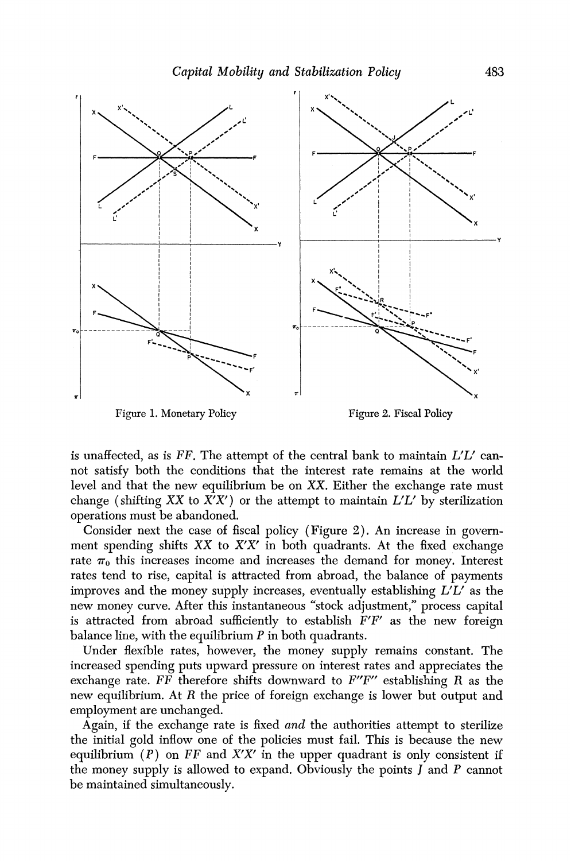

**is unaffected, as is FF. The attempt of the central bank to maintain L'L' cannot satisfy both the conditions that the interest rate remains at the world level and that the new equilibrium be on XX. Either the exchange rate must change (shifting XX to X'X') or the attempt to maintain L'L' by sterilization operations must be abandoned.** 

**Consider next the case of fiscal policy (Figure 2). An increase in government spending shifts XX to X'X' in both quadrants. At the fixed exchange**  rate  $\pi_0$  this increases income and increases the demand for money. Interest **rates tend to rise, capital is attracted from abroad, the balance of payments improves and the money supply increases, eventually establishing L'L' as the new money curve. After this instantaneous "stock adjustment," process capital is attracted from abroad sufficiently to establish F'F' as the new foreign balance line, with the equilibrium P in both quadrants.** 

**Under flexible rates, however, the money supply remains constant. The increased spending puts upward pressure on interest rates and appreciates the exchange rate. FF therefore shifts downward to F"F" establishing R as the new equilibrium. At R the price of foreign exchange is lower but output and employment are unchanged.** 

**Again, if the exchange rate is fixed and the authorities attempt to sterilize the initial gold inflow one of the policies must fail. This is because the new**  equilibrium  $(P)$  on  $FF$  and  $X'X'$  in the upper quadrant is only consistent if **the money supply is allowed to expand. Obviously the points J and P cannot be maintained simultaneously.**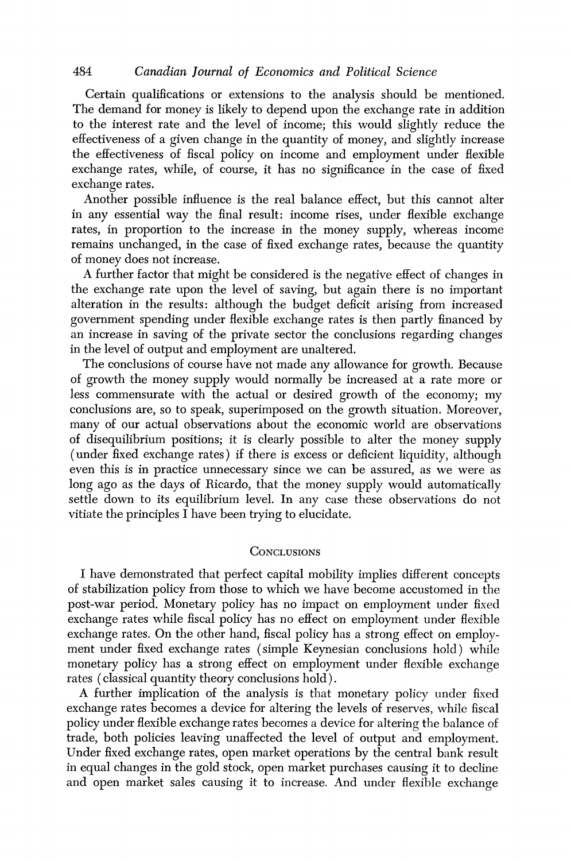#### **Canadian Journal of Economics and Political Science 484**

**Certain qualifications or extensions to the analysis should be mentioned. The demand for money is likely to depend upon the exchange rate in addition to the interest rate and the level of income; this would slightly reduce the effectiveness of a given change in the quantity of money, and slightly increase the effectiveness of fiscal policy on income and employment under flexible exchange rates, while, of course, it has no significance in the case of fixed exchange rates.** 

**Another possible influence is the real balance effect, but this cannot alter in any essential way the final result: income rises, under flexible exchange rates, in proportion to the increase in the money supply, whereas income remains unchanged, in the case of fixed exchange rates, because the quantity of money does not increase.** 

**A further factor that might be considered is the negative effect of changes in the exchange rate upon the level of saving, but again there is no important alteration in the results: although the budget deficit arising from increased government spending under flexible exchange rates is then partly financed by an increase in saving of the private sector the conclusions regarding changes in the level of output and employment are unaltered.** 

**The conclusions of course have not made any allowance for growth. Because of growth the money supply would normally be increased at a rate more or less commensurate with the actual or desired growth of the economy; my conclusions are, so to speak, superimposed on the growth situation. Moreover, many of our actual observations about the economic world are observations of disequilibrium positions; it is clearly possible to alter the money supply (under fixed exchange rates) if there is excess or deficient liquidity, although even this is in practice unnecessary since we can be assured, as we were as long ago as the days of Ricardo, that the money supply would automatically settle down to its equilibrium level. In any case these observations do not vitiate the principles I have been trying to elucidate.** 

# **CONCLUSIONS**

**I have demonstrated that perfect capital mobility implies different concepts of stabilization policy from those to which we have become accustomed in the post-war period. Monetary policy has no impact on employment under fixed exchange rates while fiscal policy has no effect on employment under flexible exchange rates. On the other hand, fiscal policy has a strong effect on employment under fixed exchange rates (simple Keynesian conclusions hold) while monetary policy has a strong effect on employment under flexible exchange rates (classical quantity theory conclusions hold).** 

**A further implication of the analysis is that monetary policy under fixed exchange rates becomes a device for altering the levels of reserves, while fiscal policy under flexible exchange rates becomes a device for altering the balance of trade, both policies leaving unaffected the level of output and employment. Under fixed exchange rates, open market operations by the central bank result in equal changes in the gold stock, open market purchases causing it to decline and open market sales causing it to increase. And under flexible exchange**